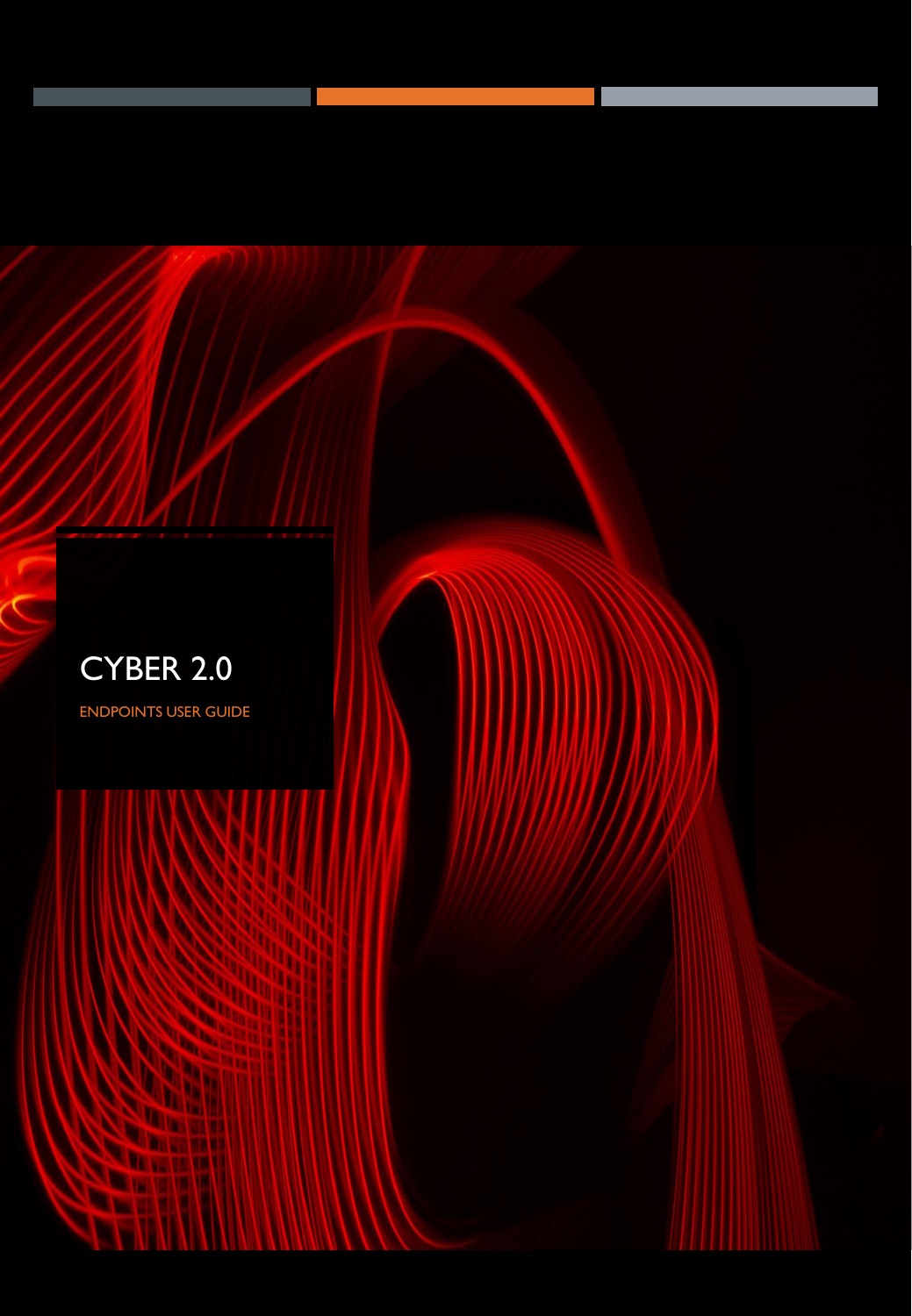

ENDPOINTS USER GUIDE

S

**DESCRIPTION** 

mm

Ò

**Salary of Allen** 

S

**DE VIE** 

w

œ.

**MAG**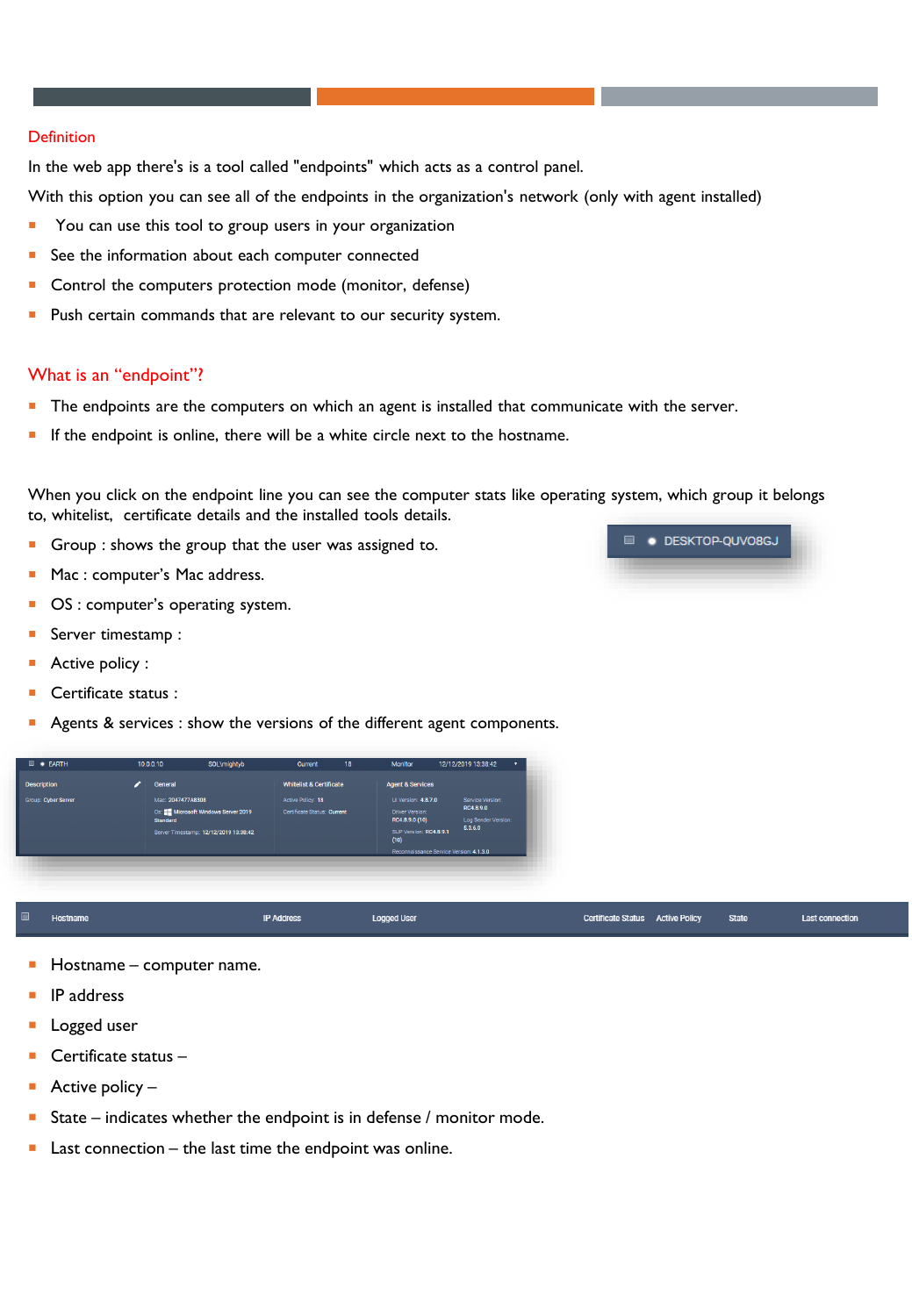#### **Definition**

In the web app there's is a tool called "endpoints" which acts as a control panel.

With this option you can see all of the endpoints in the organization's network (only with agent installed)

- **T** You can use this tool to group users in your organization
- See the information about each computer connected
- Control the computers protection mode (monitor, defense)
- **Push certain commands that are relevant to our security system.**

#### What is an "endpoint"?

- The endpoints are the computers on which an agent is installed that communicate with the server.
- **If the endpoint is online, there will be a white circle next to the hostname.**

When you click on the endpoint line you can see the computer stats like operating system, which group it belongs to, whitelist, certificate details and the installed tools details.

- Group : shows the group that the user was assigned to.
- **Mac : computer's Mac address.**
- OS : computer's operating system.
- Server timestamp :
- Active policy :
- Certificate status :
- Agents & services : show the versions of the different agent components.

- Hostname computer name.
- IP address
- Logged user
- Certificate status –
- Active policy  $-$
- State indicates whether the endpoint is in defense / monitor mode.
- Last connection the last time the endpoint was online.

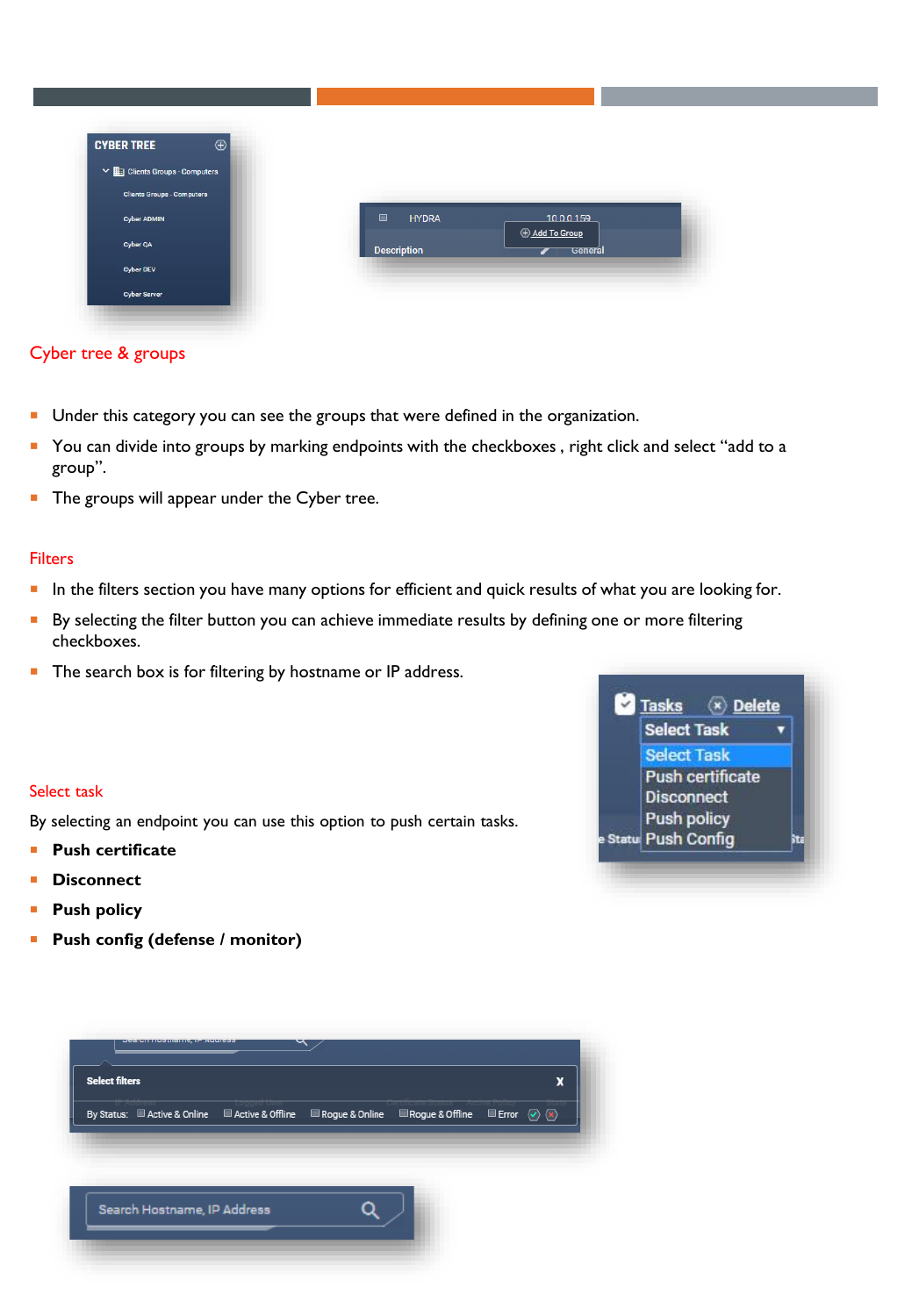| <b>CYBER TREE</b><br>$\oplus$                    |                                              |                         |
|--------------------------------------------------|----------------------------------------------|-------------------------|
| $\vee$ $\blacksquare$ Clients Groups - Computers |                                              |                         |
| <b>Cliente Groups - Computers</b>                |                                              |                         |
| Cyber ADMIN                                      | $\qquad \qquad \blacksquare$<br><b>HYDRA</b> | 1000159                 |
| Cyber QA                                         | <b>Description</b>                           | Add To Group<br>General |
| <b>Cyber DEV</b>                                 |                                              |                         |
| <b>Cyber Server</b>                              |                                              |                         |

# Cyber tree & groups

- Under this category you can see the groups that were defined in the organization.
- You can divide into groups by marking endpoints with the checkboxes, right click and select "add to a group".
- **The groups will appear under the Cyber tree.**

## **Filters**

- **IF** In the filters section you have many options for efficient and quick results of what you are looking for.
- By selecting the filter button you can achieve immediate results by defining one or more filtering checkboxes.
- **The search box is for filtering by hostname or IP address.**

## Select task

By selecting an endpoint you can use this option to push certain tasks.

- **Push certificate**
- **Disconnect**
- **Push policy**
- **Push config (defense / monitor)**